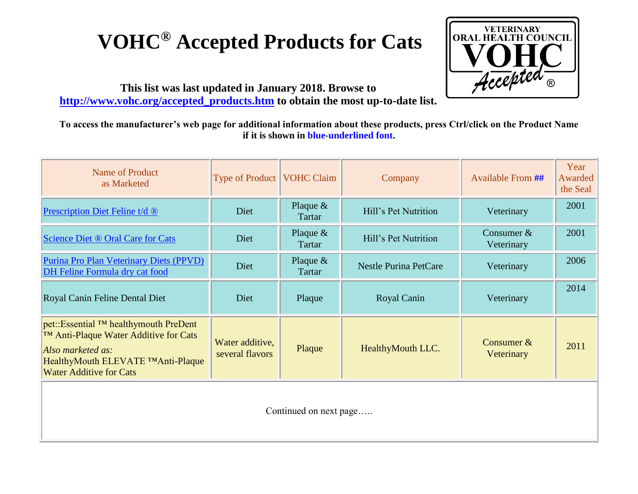## **VOHC® Accepted Products for Cats**



**This list was last updated in January 2018. Browse to [http://www.vohc.org/accepted\\_products.htm](http://www.vohc.org/accepted_products.htm) to obtain the most up-to-date list.** 

**To access the manufacturer's web page for additional information about these products, press Ctrl/click on the Product Name if it is shown in blue-underlined font.** 

| Name of Product<br>as Marketed                                                                                                                                                                  | <b>Type of Product</b>             | <b>VOHC Claim</b>    | Company                      | <b>Available From ##</b>   | Year<br>Awarded<br>the Seal |
|-------------------------------------------------------------------------------------------------------------------------------------------------------------------------------------------------|------------------------------------|----------------------|------------------------------|----------------------------|-----------------------------|
| Prescription Diet Feline t/d ®                                                                                                                                                                  | Diet                               | Plaque $&$<br>Tartar | Hill's Pet Nutrition         | Veterinary                 | 2001                        |
| Science Diet ® Oral Care for Cats                                                                                                                                                               | Diet                               | Plaque $&$<br>Tartar | Hill's Pet Nutrition         | Consumer $&$<br>Veterinary | 2001                        |
| Purina Pro Plan Veterinary Diets (PPVD)<br>DH Feline Formula dry cat food                                                                                                                       | Diet                               | Plaque $&$<br>Tartar | <b>Nestle Purina PetCare</b> | Veterinary                 | 2006                        |
| Royal Canin Feline Dental Diet                                                                                                                                                                  | Diet                               | Plaque               | Royal Canin                  | Veterinary                 | 2014                        |
| pet::Essential <sup>TM</sup> healthymouth PreDent<br><b>TM Anti-Plaque Water Additive for Cats</b><br>Also marketed as:<br>HealthyMouth ELEVATE TMAnti-Plaque<br><b>Water Additive for Cats</b> | Water additive,<br>several flavors | Plaque               | HealthyMouth LLC.            | Consumer $&$<br>Veterinary | 2011                        |
|                                                                                                                                                                                                 |                                    |                      |                              |                            |                             |

Continued on next page…..